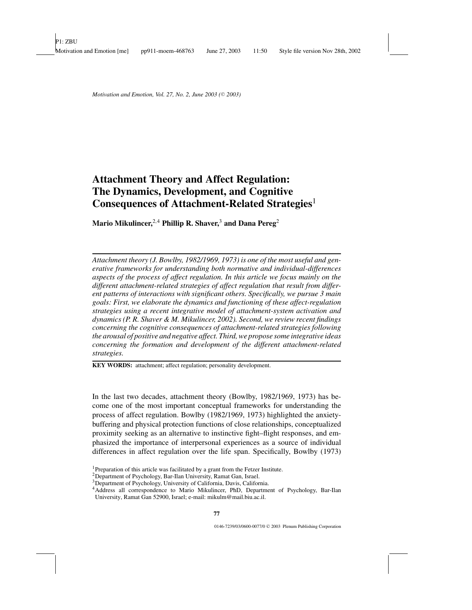# **Attachment Theory and Affect Regulation: The Dynamics, Development, and Cognitive Consequences of Attachment-Related Strategies**<sup>1</sup>

**Mario Mikulincer,**2,<sup>4</sup> **Phillip R. Shaver,**<sup>3</sup> **and Dana Pereg**<sup>2</sup>

*Attachment theory (J. Bowlby, 1982/1969, 1973) is one of the most useful and generative frameworks for understanding both normative and individual-differences aspects of the process of affect regulation. In this article we focus mainly on the different attachment-related strategies of affect regulation that result from different patterns of interactions with significant others. Specifically, we pursue 3 main goals: First, we elaborate the dynamics and functioning of these affect-regulation strategies using a recent integrative model of attachment-system activation and dynamics (P. R. Shaver & M. Mikulincer, 2002). Second, we review recent findings concerning the cognitive consequences of attachment-related strategies following the arousal of positive and negative affect. Third, we propose some integrative ideas concerning the formation and development of the different attachment-related strategies.*

**KEY WORDS:** attachment; affect regulation; personality development.

In the last two decades, attachment theory (Bowlby, 1982/1969, 1973) has become one of the most important conceptual frameworks for understanding the process of affect regulation. Bowlby (1982/1969, 1973) highlighted the anxietybuffering and physical protection functions of close relationships, conceptualized proximity seeking as an alternative to instinctive fight–flight responses, and emphasized the importance of interpersonal experiences as a source of individual differences in affect regulation over the life span. Specifically, Bowlby (1973)

<sup>&</sup>lt;sup>1</sup>Preparation of this article was facilitated by a grant from the Fetzer Institute.

<sup>2</sup>Department of Psychology, Bar-Ilan University, Ramat Gan, Israel.

<sup>3</sup>Department of Psychology, University of California, Davis, California.

<sup>4</sup>Address all correspondence to Mario Mikulincer, PhD, Department of Psychology, Bar-Ilan University, Ramat Gan 52900, Israel; e-mail: mikulm@mail.biu.ac.il.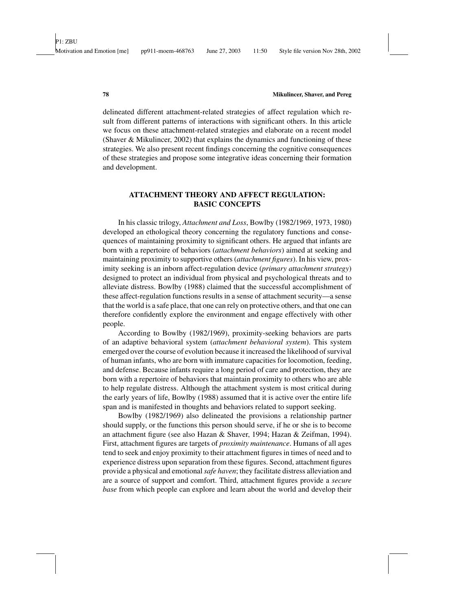delineated different attachment-related strategies of affect regulation which result from different patterns of interactions with significant others. In this article we focus on these attachment-related strategies and elaborate on a recent model (Shaver & Mikulincer, 2002) that explains the dynamics and functioning of these strategies. We also present recent findings concerning the cognitive consequences of these strategies and propose some integrative ideas concerning their formation and development.

## **ATTACHMENT THEORY AND AFFECT REGULATION: BASIC CONCEPTS**

In his classic trilogy, *Attachment and Loss*, Bowlby (1982/1969, 1973, 1980) developed an ethological theory concerning the regulatory functions and consequences of maintaining proximity to significant others. He argued that infants are born with a repertoire of behaviors (*attachment behaviors*) aimed at seeking and maintaining proximity to supportive others (*attachment figures*). In his view, proximity seeking is an inborn affect-regulation device (*primary attachment strategy*) designed to protect an individual from physical and psychological threats and to alleviate distress. Bowlby (1988) claimed that the successful accomplishment of these affect-regulation functions results in a sense of attachment security—a sense that the world is a safe place, that one can rely on protective others, and that one can therefore confidently explore the environment and engage effectively with other people.

According to Bowlby (1982/1969), proximity-seeking behaviors are parts of an adaptive behavioral system (*attachment behavioral system*). This system emerged over the course of evolution because it increased the likelihood of survival of human infants, who are born with immature capacities for locomotion, feeding, and defense. Because infants require a long period of care and protection, they are born with a repertoire of behaviors that maintain proximity to others who are able to help regulate distress. Although the attachment system is most critical during the early years of life, Bowlby (1988) assumed that it is active over the entire life span and is manifested in thoughts and behaviors related to support seeking.

Bowlby (1982/1969) also delineated the provisions a relationship partner should supply, or the functions this person should serve, if he or she is to become an attachment figure (see also Hazan & Shaver, 1994; Hazan & Zeifman, 1994). First, attachment figures are targets of *proximity maintenance*. Humans of all ages tend to seek and enjoy proximity to their attachment figures in times of need and to experience distress upon separation from these figures. Second, attachment figures provide a physical and emotional*safe haven*; they facilitate distress alleviation and are a source of support and comfort. Third, attachment figures provide a *secure base* from which people can explore and learn about the world and develop their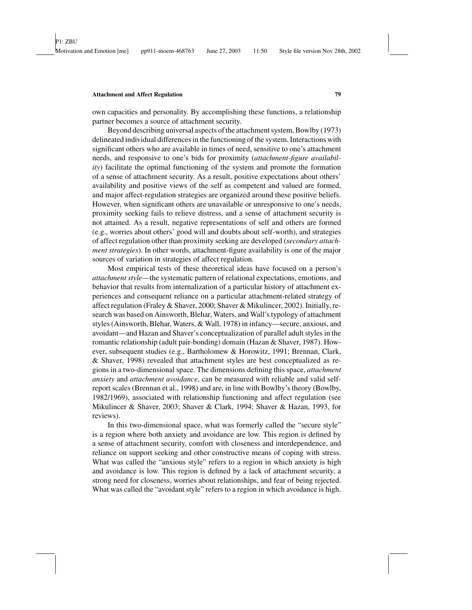own capacities and personality. By accomplishing these functions, a relationship partner becomes a source of attachment security.

Beyond describing universal aspects of the attachment system, Bowlby (1973) delineated individual differences in the functioning of the system. Interactions with significant others who are available in times of need, sensitive to one's attachment needs, and responsive to one's bids for proximity (*attachment-figure availability*) facilitate the optimal functioning of the system and promote the formation of a sense of attachment security. As a result, positive expectations about others' availability and positive views of the self as competent and valued are formed, and major affect-regulation strategies are organized around these positive beliefs. However, when significant others are unavailable or unresponsive to one's needs, proximity seeking fails to relieve distress, and a sense of attachment security is not attained. As a result, negative representations of self and others are formed (e.g., worries about others' good will and doubts about self-worth), and strategies of affect regulation other than proximity seeking are developed (*secondary attachment strategies*). In other words, attachment-figure availability is one of the major sources of variation in strategies of affect regulation.

Most empirical tests of these theoretical ideas have focused on a person's *attachment style*—the systematic pattern of relational expectations, emotions, and behavior that results from internalization of a particular history of attachment experiences and consequent reliance on a particular attachment-related strategy of affect regulation (Fraley & Shaver, 2000; Shaver & Mikulincer, 2002). Initially, research was based on Ainsworth, Blehar, Waters, and Wall's typology of attachment styles (Ainsworth, Blehar, Waters, & Wall, 1978) in infancy—secure, anxious, and avoidant—and Hazan and Shaver's conceptualization of parallel adult styles in the romantic relationship (adult pair-bonding) domain (Hazan & Shaver, 1987). However, subsequent studies (e.g., Bartholomew & Horowitz, 1991; Brennan, Clark, & Shaver, 1998) revealed that attachment styles are best conceptualized as regions in a two-dimensional space. The dimensions defining this space, *attachment anxiety* and *attachment avoidance*, can be measured with reliable and valid selfreport scales (Brennan et al., 1998) and are, in line with Bowlby's theory (Bowlby, 1982/1969), associated with relationship functioning and affect regulation (see Mikulincer & Shaver, 2003; Shaver & Clark, 1994; Shaver & Hazan, 1993, for reviews).

In this two-dimensional space, what was formerly called the "secure style" is a region where both anxiety and avoidance are low. This region is defined by a sense of attachment security, comfort with closeness and interdependence, and reliance on support seeking and other constructive means of coping with stress. What was called the "anxious style" refers to a region in which anxiety is high and avoidance is low. This region is defined by a lack of attachment security, a strong need for closeness, worries about relationships, and fear of being rejected. What was called the "avoidant style" refers to a region in which avoidance is high.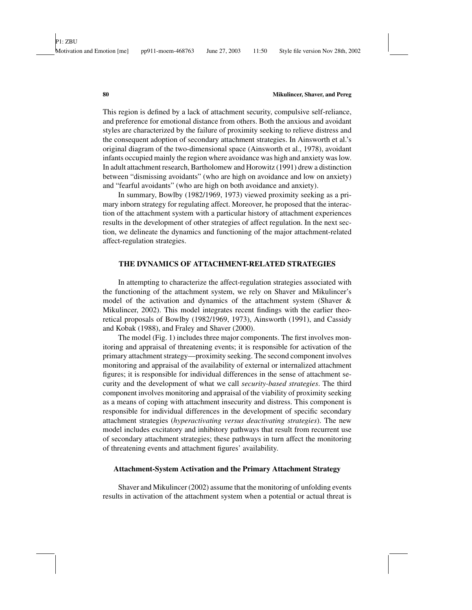This region is defined by a lack of attachment security, compulsive self-reliance, and preference for emotional distance from others. Both the anxious and avoidant styles are characterized by the failure of proximity seeking to relieve distress and the consequent adoption of secondary attachment strategies. In Ainsworth et al.'s original diagram of the two-dimensional space (Ainsworth et al., 1978), avoidant infants occupied mainly the region where avoidance was high and anxiety was low. In adult attachment research, Bartholomew and Horowitz (1991) drew a distinction between "dismissing avoidants" (who are high on avoidance and low on anxiety) and "fearful avoidants" (who are high on both avoidance and anxiety).

In summary, Bowlby (1982/1969, 1973) viewed proximity seeking as a primary inborn strategy for regulating affect. Moreover, he proposed that the interaction of the attachment system with a particular history of attachment experiences results in the development of other strategies of affect regulation. In the next section, we delineate the dynamics and functioning of the major attachment-related affect-regulation strategies.

## **THE DYNAMICS OF ATTACHMENT-RELATED STRATEGIES**

In attempting to characterize the affect-regulation strategies associated with the functioning of the attachment system, we rely on Shaver and Mikulincer's model of the activation and dynamics of the attachment system (Shaver & Mikulincer, 2002). This model integrates recent findings with the earlier theoretical proposals of Bowlby (1982/1969, 1973), Ainsworth (1991), and Cassidy and Kobak (1988), and Fraley and Shaver (2000).

The model (Fig. 1) includes three major components. The first involves monitoring and appraisal of threatening events; it is responsible for activation of the primary attachment strategy—proximity seeking. The second component involves monitoring and appraisal of the availability of external or internalized attachment figures; it is responsible for individual differences in the sense of attachment security and the development of what we call *security-based strategies*. The third component involves monitoring and appraisal of the viability of proximity seeking as a means of coping with attachment insecurity and distress. This component is responsible for individual differences in the development of specific secondary attachment strategies (*hyperactivating versus deactivating strategies*). The new model includes excitatory and inhibitory pathways that result from recurrent use of secondary attachment strategies; these pathways in turn affect the monitoring of threatening events and attachment figures' availability.

## **Attachment-System Activation and the Primary Attachment Strategy**

Shaver and Mikulincer (2002) assume that the monitoring of unfolding events results in activation of the attachment system when a potential or actual threat is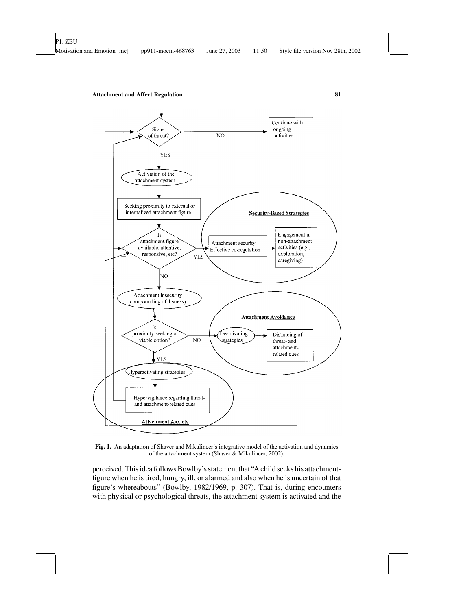

**Fig. 1.** An adaptation of Shaver and Mikulincer's integrative model of the activation and dynamics of the attachment system (Shaver & Mikulincer, 2002).

perceived. This idea follows Bowlby's statement that "A child seeks his attachmentfigure when he is tired, hungry, ill, or alarmed and also when he is uncertain of that figure's whereabouts" (Bowlby, 1982/1969, p. 307). That is, during encounters with physical or psychological threats, the attachment system is activated and the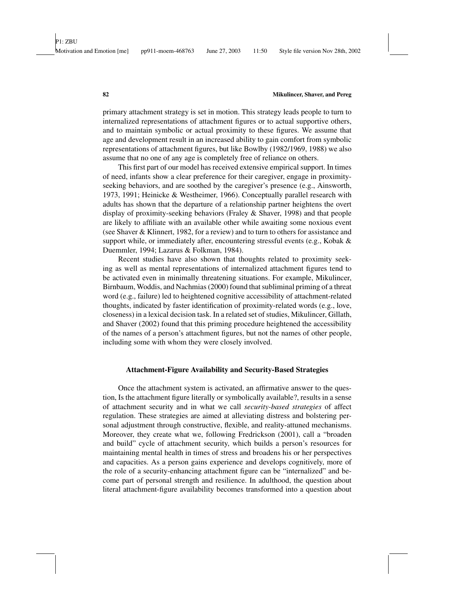primary attachment strategy is set in motion. This strategy leads people to turn to internalized representations of attachment figures or to actual supportive others, and to maintain symbolic or actual proximity to these figures. We assume that age and development result in an increased ability to gain comfort from symbolic representations of attachment figures, but like Bowlby (1982/1969, 1988) we also assume that no one of any age is completely free of reliance on others.

This first part of our model has received extensive empirical support. In times of need, infants show a clear preference for their caregiver, engage in proximityseeking behaviors, and are soothed by the caregiver's presence (e.g., Ainsworth, 1973, 1991; Heinicke & Westheimer, 1966). Conceptually parallel research with adults has shown that the departure of a relationship partner heightens the overt display of proximity-seeking behaviors (Fraley & Shaver, 1998) and that people are likely to affiliate with an available other while awaiting some noxious event (see Shaver & Klinnert, 1982, for a review) and to turn to others for assistance and support while, or immediately after, encountering stressful events (e.g., Kobak & Duemmler, 1994; Lazarus & Folkman, 1984).

Recent studies have also shown that thoughts related to proximity seeking as well as mental representations of internalized attachment figures tend to be activated even in minimally threatening situations. For example, Mikulincer, Birnbaum, Woddis, and Nachmias (2000) found that subliminal priming of a threat word (e.g., failure) led to heightened cognitive accessibility of attachment-related thoughts, indicated by faster identification of proximity-related words (e.g., love, closeness) in a lexical decision task. In a related set of studies, Mikulincer, Gillath, and Shaver (2002) found that this priming procedure heightened the accessibility of the names of a person's attachment figures, but not the names of other people, including some with whom they were closely involved.

### **Attachment-Figure Availability and Security-Based Strategies**

Once the attachment system is activated, an affirmative answer to the question, Is the attachment figure literally or symbolically available?, results in a sense of attachment security and in what we call *security-based strategies* of affect regulation. These strategies are aimed at alleviating distress and bolstering personal adjustment through constructive, flexible, and reality-attuned mechanisms. Moreover, they create what we, following Fredrickson (2001), call a "broaden and build" cycle of attachment security, which builds a person's resources for maintaining mental health in times of stress and broadens his or her perspectives and capacities. As a person gains experience and develops cognitively, more of the role of a security-enhancing attachment figure can be "internalized" and become part of personal strength and resilience. In adulthood, the question about literal attachment-figure availability becomes transformed into a question about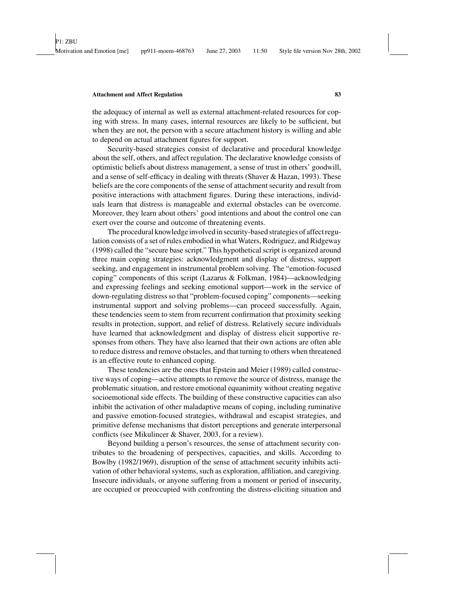the adequacy of internal as well as external attachment-related resources for coping with stress. In many cases, internal resources are likely to be sufficient, but when they are not, the person with a secure attachment history is willing and able to depend on actual attachment figures for support.

Security-based strategies consist of declarative and procedural knowledge about the self, others, and affect regulation. The declarative knowledge consists of optimistic beliefs about distress management, a sense of trust in others' goodwill, and a sense of self-efficacy in dealing with threats (Shaver & Hazan, 1993). These beliefs are the core components of the sense of attachment security and result from positive interactions with attachment figures. During these interactions, individuals learn that distress is manageable and external obstacles can be overcome. Moreover, they learn about others' good intentions and about the control one can exert over the course and outcome of threatening events.

The procedural knowledge involved in security-based strategies of affect regulation consists of a set of rules embodied in what Waters, Rodriguez, and Ridgeway (1998) called the "secure base script." This hypothetical script is organized around three main coping strategies: acknowledgment and display of distress, support seeking, and engagement in instrumental problem solving. The "emotion-focused coping" components of this script (Lazarus & Folkman, 1984)—acknowledging and expressing feelings and seeking emotional support—work in the service of down-regulating distress so that "problem-focused coping" components—seeking instrumental support and solving problems—can proceed successfully. Again, these tendencies seem to stem from recurrent confirmation that proximity seeking results in protection, support, and relief of distress. Relatively secure individuals have learned that acknowledgment and display of distress elicit supportive responses from others. They have also learned that their own actions are often able to reduce distress and remove obstacles, and that turning to others when threatened is an effective route to enhanced coping.

These tendencies are the ones that Epstein and Meier (1989) called constructive ways of coping—active attempts to remove the source of distress, manage the problematic situation, and restore emotional equanimity without creating negative socioemotional side effects. The building of these constructive capacities can also inhibit the activation of other maladaptive means of coping, including ruminative and passive emotion-focused strategies, withdrawal and escapist strategies, and primitive defense mechanisms that distort perceptions and generate interpersonal conflicts (see Mikulincer & Shaver, 2003, for a review).

Beyond building a person's resources, the sense of attachment security contributes to the broadening of perspectives, capacities, and skills. According to Bowlby (1982/1969), disruption of the sense of attachment security inhibits activation of other behavioral systems, such as exploration, affiliation, and caregiving. Insecure individuals, or anyone suffering from a moment or period of insecurity, are occupied or preoccupied with confronting the distress-eliciting situation and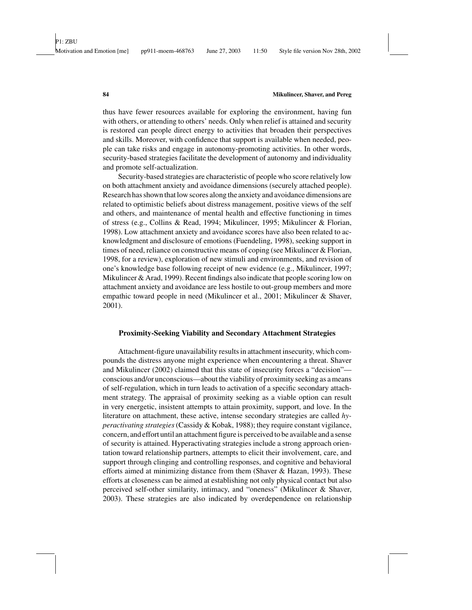thus have fewer resources available for exploring the environment, having fun with others, or attending to others' needs. Only when relief is attained and security is restored can people direct energy to activities that broaden their perspectives and skills. Moreover, with confidence that support is available when needed, people can take risks and engage in autonomy-promoting activities. In other words, security-based strategies facilitate the development of autonomy and individuality and promote self-actualization.

Security-based strategies are characteristic of people who score relatively low on both attachment anxiety and avoidance dimensions (securely attached people). Research has shown that low scores along the anxiety and avoidance dimensions are related to optimistic beliefs about distress management, positive views of the self and others, and maintenance of mental health and effective functioning in times of stress (e.g., Collins & Read, 1994; Mikulincer, 1995; Mikulincer & Florian, 1998). Low attachment anxiety and avoidance scores have also been related to acknowledgment and disclosure of emotions (Fuendeling, 1998), seeking support in times of need, reliance on constructive means of coping (see Mikulincer & Florian, 1998, for a review), exploration of new stimuli and environments, and revision of one's knowledge base following receipt of new evidence (e.g., Mikulincer, 1997; Mikulincer & Arad, 1999). Recent findings also indicate that people scoring low on attachment anxiety and avoidance are less hostile to out-group members and more empathic toward people in need (Mikulincer et al., 2001; Mikulincer & Shaver, 2001).

## **Proximity-Seeking Viability and Secondary Attachment Strategies**

Attachment-figure unavailability results in attachment insecurity, which compounds the distress anyone might experience when encountering a threat. Shaver and Mikulincer (2002) claimed that this state of insecurity forces a "decision" conscious and/or unconscious—about the viability of proximity seeking as a means of self-regulation, which in turn leads to activation of a specific secondary attachment strategy. The appraisal of proximity seeking as a viable option can result in very energetic, insistent attempts to attain proximity, support, and love. In the literature on attachment, these active, intense secondary strategies are called *hyperactivating strategies*(Cassidy & Kobak, 1988); they require constant vigilance, concern, and effort until an attachment figure is perceived to be available and a sense of security is attained. Hyperactivating strategies include a strong approach orientation toward relationship partners, attempts to elicit their involvement, care, and support through clinging and controlling responses, and cognitive and behavioral efforts aimed at minimizing distance from them (Shaver & Hazan, 1993). These efforts at closeness can be aimed at establishing not only physical contact but also perceived self-other similarity, intimacy, and "oneness" (Mikulincer & Shaver, 2003). These strategies are also indicated by overdependence on relationship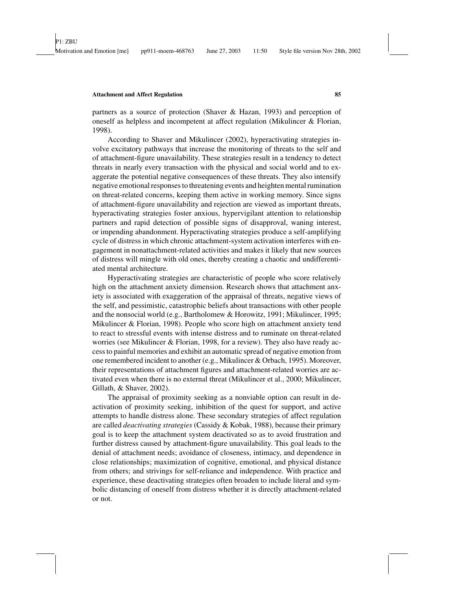partners as a source of protection (Shaver & Hazan, 1993) and perception of oneself as helpless and incompetent at affect regulation (Mikulincer & Florian, 1998).

According to Shaver and Mikulincer (2002), hyperactivating strategies involve excitatory pathways that increase the monitoring of threats to the self and of attachment-figure unavailability. These strategies result in a tendency to detect threats in nearly every transaction with the physical and social world and to exaggerate the potential negative consequences of these threats. They also intensify negative emotional responses to threatening events and heighten mental rumination on threat-related concerns, keeping them active in working memory. Since signs of attachment-figure unavailability and rejection are viewed as important threats, hyperactivating strategies foster anxious, hypervigilant attention to relationship partners and rapid detection of possible signs of disapproval, waning interest, or impending abandonment. Hyperactivating strategies produce a self-amplifying cycle of distress in which chronic attachment-system activation interferes with engagement in nonattachment-related activities and makes it likely that new sources of distress will mingle with old ones, thereby creating a chaotic and undifferentiated mental architecture.

Hyperactivating strategies are characteristic of people who score relatively high on the attachment anxiety dimension. Research shows that attachment anxiety is associated with exaggeration of the appraisal of threats, negative views of the self, and pessimistic, catastrophic beliefs about transactions with other people and the nonsocial world (e.g., Bartholomew & Horowitz, 1991; Mikulincer, 1995; Mikulincer & Florian, 1998). People who score high on attachment anxiety tend to react to stressful events with intense distress and to ruminate on threat-related worries (see Mikulincer & Florian, 1998, for a review). They also have ready access to painful memories and exhibit an automatic spread of negative emotion from one remembered incident to another (e.g., Mikulincer & Orbach, 1995). Moreover, their representations of attachment figures and attachment-related worries are activated even when there is no external threat (Mikulincer et al., 2000; Mikulincer, Gillath, & Shaver, 2002).

The appraisal of proximity seeking as a nonviable option can result in deactivation of proximity seeking, inhibition of the quest for support, and active attempts to handle distress alone. These secondary strategies of affect regulation are called *deactivating strategies* (Cassidy & Kobak, 1988), because their primary goal is to keep the attachment system deactivated so as to avoid frustration and further distress caused by attachment-figure unavailability. This goal leads to the denial of attachment needs; avoidance of closeness, intimacy, and dependence in close relationships; maximization of cognitive, emotional, and physical distance from others; and strivings for self-reliance and independence. With practice and experience, these deactivating strategies often broaden to include literal and symbolic distancing of oneself from distress whether it is directly attachment-related or not.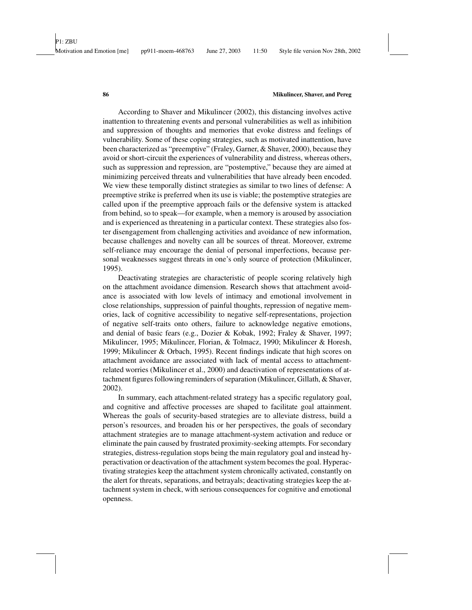According to Shaver and Mikulincer (2002), this distancing involves active inattention to threatening events and personal vulnerabilities as well as inhibition and suppression of thoughts and memories that evoke distress and feelings of vulnerability. Some of these coping strategies, such as motivated inattention, have been characterized as "preemptive" (Fraley, Garner, & Shaver, 2000), because they avoid or short-circuit the experiences of vulnerability and distress, whereas others, such as suppression and repression, are "postemptive," because they are aimed at minimizing perceived threats and vulnerabilities that have already been encoded. We view these temporally distinct strategies as similar to two lines of defense: A preemptive strike is preferred when its use is viable; the postemptive strategies are called upon if the preemptive approach fails or the defensive system is attacked from behind, so to speak—for example, when a memory is aroused by association and is experienced as threatening in a particular context. These strategies also foster disengagement from challenging activities and avoidance of new information, because challenges and novelty can all be sources of threat. Moreover, extreme self-reliance may encourage the denial of personal imperfections, because personal weaknesses suggest threats in one's only source of protection (Mikulincer, 1995).

Deactivating strategies are characteristic of people scoring relatively high on the attachment avoidance dimension. Research shows that attachment avoidance is associated with low levels of intimacy and emotional involvement in close relationships, suppression of painful thoughts, repression of negative memories, lack of cognitive accessibility to negative self-representations, projection of negative self-traits onto others, failure to acknowledge negative emotions, and denial of basic fears (e.g., Dozier & Kobak, 1992; Fraley & Shaver, 1997; Mikulincer, 1995; Mikulincer, Florian, & Tolmacz, 1990; Mikulincer & Horesh, 1999; Mikulincer & Orbach, 1995). Recent findings indicate that high scores on attachment avoidance are associated with lack of mental access to attachmentrelated worries (Mikulincer et al., 2000) and deactivation of representations of attachment figures following reminders of separation (Mikulincer, Gillath, & Shaver, 2002).

In summary, each attachment-related strategy has a specific regulatory goal, and cognitive and affective processes are shaped to facilitate goal attainment. Whereas the goals of security-based strategies are to alleviate distress, build a person's resources, and broaden his or her perspectives, the goals of secondary attachment strategies are to manage attachment-system activation and reduce or eliminate the pain caused by frustrated proximity-seeking attempts. For secondary strategies, distress-regulation stops being the main regulatory goal and instead hyperactivation or deactivation of the attachment system becomes the goal. Hyperactivating strategies keep the attachment system chronically activated, constantly on the alert for threats, separations, and betrayals; deactivating strategies keep the attachment system in check, with serious consequences for cognitive and emotional openness.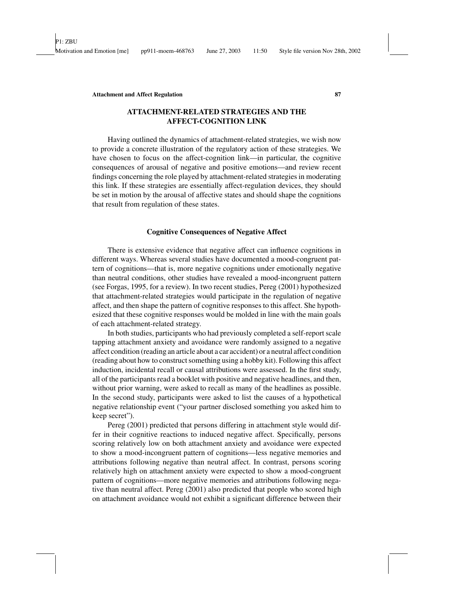## **ATTACHMENT-RELATED STRATEGIES AND THE AFFECT-COGNITION LINK**

Having outlined the dynamics of attachment-related strategies, we wish now to provide a concrete illustration of the regulatory action of these strategies. We have chosen to focus on the affect-cognition link—in particular, the cognitive consequences of arousal of negative and positive emotions—and review recent findings concerning the role played by attachment-related strategies in moderating this link. If these strategies are essentially affect-regulation devices, they should be set in motion by the arousal of affective states and should shape the cognitions that result from regulation of these states.

## **Cognitive Consequences of Negative Affect**

There is extensive evidence that negative affect can influence cognitions in different ways. Whereas several studies have documented a mood-congruent pattern of cognitions—that is, more negative cognitions under emotionally negative than neutral conditions, other studies have revealed a mood-incongruent pattern (see Forgas, 1995, for a review). In two recent studies, Pereg (2001) hypothesized that attachment-related strategies would participate in the regulation of negative affect, and then shape the pattern of cognitive responses to this affect. She hypothesized that these cognitive responses would be molded in line with the main goals of each attachment-related strategy.

In both studies, participants who had previously completed a self-report scale tapping attachment anxiety and avoidance were randomly assigned to a negative affect condition (reading an article about a car accident) or a neutral affect condition (reading about how to construct something using a hobby kit). Following this affect induction, incidental recall or causal attributions were assessed. In the first study, all of the participants read a booklet with positive and negative headlines, and then, without prior warning, were asked to recall as many of the headlines as possible. In the second study, participants were asked to list the causes of a hypothetical negative relationship event ("your partner disclosed something you asked him to keep secret").

Pereg (2001) predicted that persons differing in attachment style would differ in their cognitive reactions to induced negative affect. Specifically, persons scoring relatively low on both attachment anxiety and avoidance were expected to show a mood-incongruent pattern of cognitions—less negative memories and attributions following negative than neutral affect. In contrast, persons scoring relatively high on attachment anxiety were expected to show a mood-congruent pattern of cognitions—more negative memories and attributions following negative than neutral affect. Pereg (2001) also predicted that people who scored high on attachment avoidance would not exhibit a significant difference between their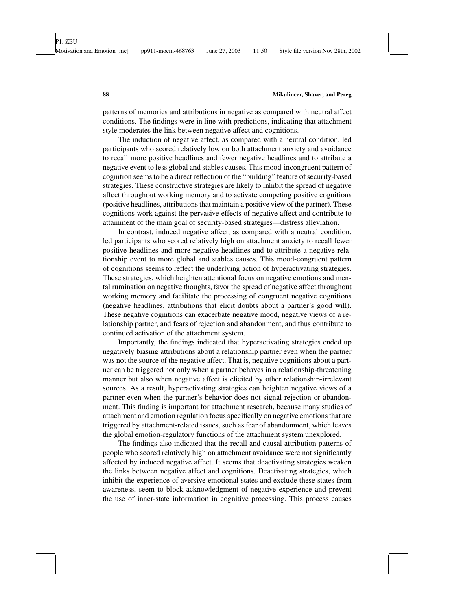patterns of memories and attributions in negative as compared with neutral affect conditions. The findings were in line with predictions, indicating that attachment style moderates the link between negative affect and cognitions.

The induction of negative affect, as compared with a neutral condition, led participants who scored relatively low on both attachment anxiety and avoidance to recall more positive headlines and fewer negative headlines and to attribute a negative event to less global and stables causes. This mood-incongruent pattern of cognition seems to be a direct reflection of the "building" feature of security-based strategies. These constructive strategies are likely to inhibit the spread of negative affect throughout working memory and to activate competing positive cognitions (positive headlines, attributions that maintain a positive view of the partner). These cognitions work against the pervasive effects of negative affect and contribute to attainment of the main goal of security-based strategies—distress alleviation.

In contrast, induced negative affect, as compared with a neutral condition, led participants who scored relatively high on attachment anxiety to recall fewer positive headlines and more negative headlines and to attribute a negative relationship event to more global and stables causes. This mood-congruent pattern of cognitions seems to reflect the underlying action of hyperactivating strategies. These strategies, which heighten attentional focus on negative emotions and mental rumination on negative thoughts, favor the spread of negative affect throughout working memory and facilitate the processing of congruent negative cognitions (negative headlines, attributions that elicit doubts about a partner's good will). These negative cognitions can exacerbate negative mood, negative views of a relationship partner, and fears of rejection and abandonment, and thus contribute to continued activation of the attachment system.

Importantly, the findings indicated that hyperactivating strategies ended up negatively biasing attributions about a relationship partner even when the partner was not the source of the negative affect. That is, negative cognitions about a partner can be triggered not only when a partner behaves in a relationship-threatening manner but also when negative affect is elicited by other relationship-irrelevant sources. As a result, hyperactivating strategies can heighten negative views of a partner even when the partner's behavior does not signal rejection or abandonment. This finding is important for attachment research, because many studies of attachment and emotion regulation focus specifically on negative emotions that are triggered by attachment-related issues, such as fear of abandonment, which leaves the global emotion-regulatory functions of the attachment system unexplored.

The findings also indicated that the recall and causal attribution patterns of people who scored relatively high on attachment avoidance were not significantly affected by induced negative affect. It seems that deactivating strategies weaken the links between negative affect and cognitions. Deactivating strategies, which inhibit the experience of aversive emotional states and exclude these states from awareness, seem to block acknowledgment of negative experience and prevent the use of inner-state information in cognitive processing. This process causes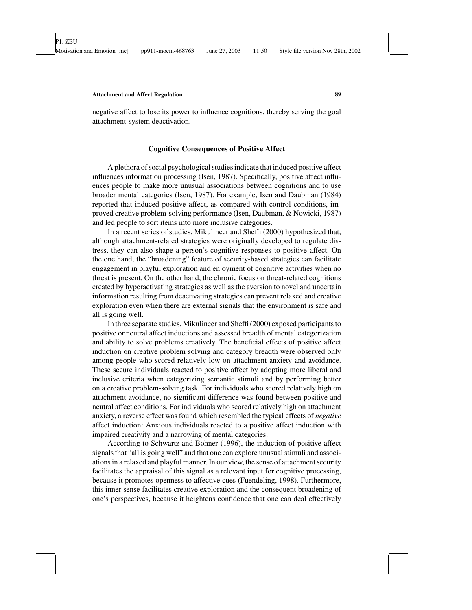negative affect to lose its power to influence cognitions, thereby serving the goal attachment-system deactivation.

## **Cognitive Consequences of Positive Affect**

A plethora of social psychological studies indicate that induced positive affect influences information processing (Isen, 1987). Specifically, positive affect influences people to make more unusual associations between cognitions and to use broader mental categories (Isen, 1987). For example, Isen and Daubman (1984) reported that induced positive affect, as compared with control conditions, improved creative problem-solving performance (Isen, Daubman, & Nowicki, 1987) and led people to sort items into more inclusive categories.

In a recent series of studies, Mikulincer and Sheffi (2000) hypothesized that, although attachment-related strategies were originally developed to regulate distress, they can also shape a person's cognitive responses to positive affect. On the one hand, the "broadening" feature of security-based strategies can facilitate engagement in playful exploration and enjoyment of cognitive activities when no threat is present. On the other hand, the chronic focus on threat-related cognitions created by hyperactivating strategies as well as the aversion to novel and uncertain information resulting from deactivating strategies can prevent relaxed and creative exploration even when there are external signals that the environment is safe and all is going well.

In three separate studies, Mikulincer and Sheffi (2000) exposed participants to positive or neutral affect inductions and assessed breadth of mental categorization and ability to solve problems creatively. The beneficial effects of positive affect induction on creative problem solving and category breadth were observed only among people who scored relatively low on attachment anxiety and avoidance. These secure individuals reacted to positive affect by adopting more liberal and inclusive criteria when categorizing semantic stimuli and by performing better on a creative problem-solving task. For individuals who scored relatively high on attachment avoidance, no significant difference was found between positive and neutral affect conditions. For individuals who scored relatively high on attachment anxiety, a reverse effect was found which resembled the typical effects of *negative* affect induction: Anxious individuals reacted to a positive affect induction with impaired creativity and a narrowing of mental categories.

According to Schwartz and Bohner (1996), the induction of positive affect signals that "all is going well" and that one can explore unusual stimuli and associations in a relaxed and playful manner. In our view, the sense of attachment security facilitates the appraisal of this signal as a relevant input for cognitive processing, because it promotes openness to affective cues (Fuendeling, 1998). Furthermore, this inner sense facilitates creative exploration and the consequent broadening of one's perspectives, because it heightens confidence that one can deal effectively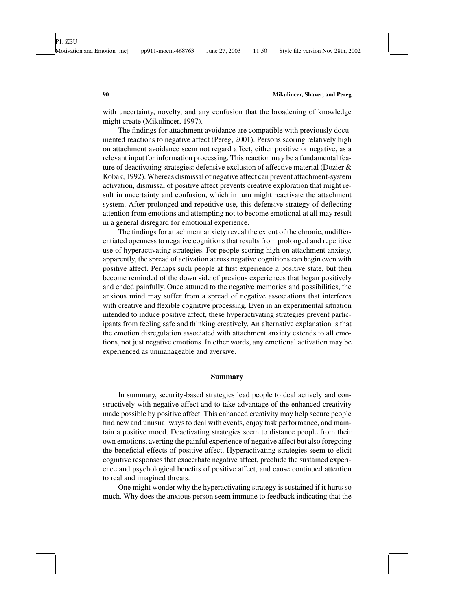with uncertainty, novelty, and any confusion that the broadening of knowledge might create (Mikulincer, 1997).

The findings for attachment avoidance are compatible with previously documented reactions to negative affect (Pereg, 2001). Persons scoring relatively high on attachment avoidance seem not regard affect, either positive or negative, as a relevant input for information processing. This reaction may be a fundamental feature of deactivating strategies: defensive exclusion of affective material (Dozier & Kobak, 1992). Whereas dismissal of negative affect can prevent attachment-system activation, dismissal of positive affect prevents creative exploration that might result in uncertainty and confusion, which in turn might reactivate the attachment system. After prolonged and repetitive use, this defensive strategy of deflecting attention from emotions and attempting not to become emotional at all may result in a general disregard for emotional experience.

The findings for attachment anxiety reveal the extent of the chronic, undifferentiated openness to negative cognitions that results from prolonged and repetitive use of hyperactivating strategies. For people scoring high on attachment anxiety, apparently, the spread of activation across negative cognitions can begin even with positive affect. Perhaps such people at first experience a positive state, but then become reminded of the down side of previous experiences that began positively and ended painfully. Once attuned to the negative memories and possibilities, the anxious mind may suffer from a spread of negative associations that interferes with creative and flexible cognitive processing. Even in an experimental situation intended to induce positive affect, these hyperactivating strategies prevent participants from feeling safe and thinking creatively. An alternative explanation is that the emotion disregulation associated with attachment anxiety extends to all emotions, not just negative emotions. In other words, any emotional activation may be experienced as unmanageable and aversive.

## **Summary**

In summary, security-based strategies lead people to deal actively and constructively with negative affect and to take advantage of the enhanced creativity made possible by positive affect. This enhanced creativity may help secure people find new and unusual ways to deal with events, enjoy task performance, and maintain a positive mood. Deactivating strategies seem to distance people from their own emotions, averting the painful experience of negative affect but also foregoing the beneficial effects of positive affect. Hyperactivating strategies seem to elicit cognitive responses that exacerbate negative affect, preclude the sustained experience and psychological benefits of positive affect, and cause continued attention to real and imagined threats.

One might wonder why the hyperactivating strategy is sustained if it hurts so much. Why does the anxious person seem immune to feedback indicating that the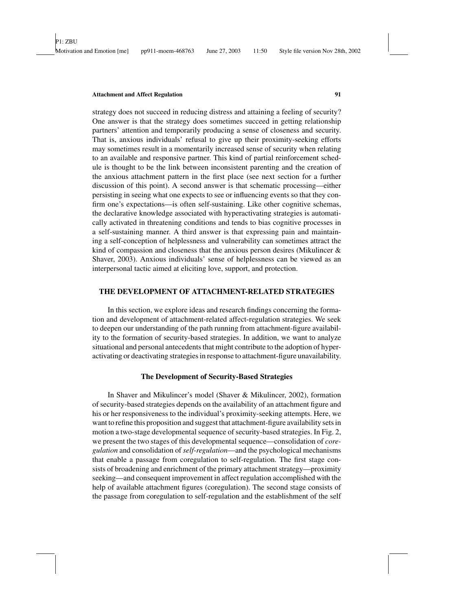strategy does not succeed in reducing distress and attaining a feeling of security? One answer is that the strategy does sometimes succeed in getting relationship partners' attention and temporarily producing a sense of closeness and security. That is, anxious individuals' refusal to give up their proximity-seeking efforts may sometimes result in a momentarily increased sense of security when relating to an available and responsive partner. This kind of partial reinforcement schedule is thought to be the link between inconsistent parenting and the creation of the anxious attachment pattern in the first place (see next section for a further discussion of this point). A second answer is that schematic processing—either persisting in seeing what one expects to see or influencing events so that they confirm one's expectations—is often self-sustaining. Like other cognitive schemas, the declarative knowledge associated with hyperactivating strategies is automatically activated in threatening conditions and tends to bias cognitive processes in a self-sustaining manner. A third answer is that expressing pain and maintaining a self-conception of helplessness and vulnerability can sometimes attract the kind of compassion and closeness that the anxious person desires (Mikulincer  $\&$ Shaver, 2003). Anxious individuals' sense of helplessness can be viewed as an interpersonal tactic aimed at eliciting love, support, and protection.

## **THE DEVELOPMENT OF ATTACHMENT-RELATED STRATEGIES**

In this section, we explore ideas and research findings concerning the formation and development of attachment-related affect-regulation strategies. We seek to deepen our understanding of the path running from attachment-figure availability to the formation of security-based strategies. In addition, we want to analyze situational and personal antecedents that might contribute to the adoption of hyperactivating or deactivating strategies in response to attachment-figure unavailability.

## **The Development of Security-Based Strategies**

In Shaver and Mikulincer's model (Shaver & Mikulincer, 2002), formation of security-based strategies depends on the availability of an attachment figure and his or her responsiveness to the individual's proximity-seeking attempts. Here, we want to refine this proposition and suggest that attachment-figure availability sets in motion a two-stage developmental sequence of security-based strategies. In Fig. 2, we present the two stages of this developmental sequence—consolidation of *coregulation* and consolidation of *self-regulation*—and the psychological mechanisms that enable a passage from coregulation to self-regulation. The first stage consists of broadening and enrichment of the primary attachment strategy—proximity seeking—and consequent improvement in affect regulation accomplished with the help of available attachment figures (coregulation). The second stage consists of the passage from coregulation to self-regulation and the establishment of the self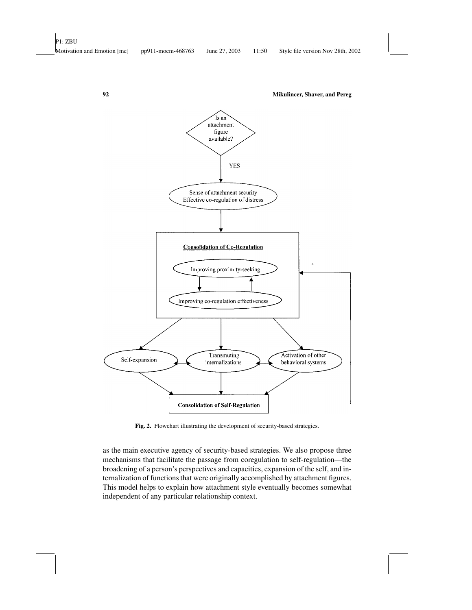

**Fig. 2.** Flowchart illustrating the development of security-based strategies.

as the main executive agency of security-based strategies. We also propose three mechanisms that facilitate the passage from coregulation to self-regulation—the broadening of a person's perspectives and capacities, expansion of the self, and internalization of functions that were originally accomplished by attachment figures. This model helps to explain how attachment style eventually becomes somewhat independent of any particular relationship context.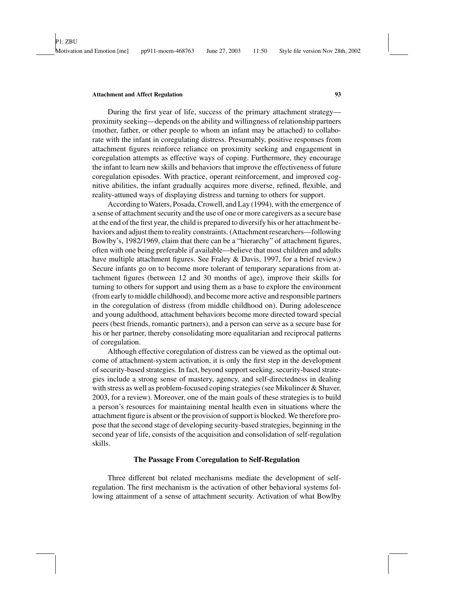During the first year of life, success of the primary attachment strategy proximity seeking—depends on the ability and willingness of relationship partners (mother, father, or other people to whom an infant may be attached) to collaborate with the infant in coregulating distress. Presumably, positive responses from attachment figures reinforce reliance on proximity seeking and engagement in coregulation attempts as effective ways of coping. Furthermore, they encourage the infant to learn new skills and behaviors that improve the effectiveness of future coregulation episodes. With practice, operant reinforcement, and improved cognitive abilities, the infant gradually acquires more diverse, refined, flexible, and reality-attuned ways of displaying distress and turning to others for support.

According to Waters, Posada, Crowell, and Lay (1994), with the emergence of a sense of attachment security and the use of one or more caregivers as a secure base at the end of the first year, the child is prepared to diversify his or her attachment behaviors and adjust them to reality constraints. (Attachment researchers—following Bowlby's, 1982/1969, claim that there can be a "hierarchy" of attachment figures, often with one being preferable if available—believe that most children and adults have multiple attachment figures. See Fraley & Davis, 1997, for a brief review.) Secure infants go on to become more tolerant of temporary separations from attachment figures (between 12 and 30 months of age), improve their skills for turning to others for support and using them as a base to explore the environment (from early to middle childhood), and become more active and responsible partners in the coregulation of distress (from middle childhood on). During adolescence and young adulthood, attachment behaviors become more directed toward special peers (best friends, romantic partners), and a person can serve as a secure base for his or her partner, thereby consolidating more equalitarian and reciprocal patterns of coregulation.

Although effective coregulation of distress can be viewed as the optimal outcome of attachment-system activation, it is only the first step in the development of security-based strategies. In fact, beyond support seeking, security-based strategies include a strong sense of mastery, agency, and self-directedness in dealing with stress as well as problem-focused coping strategies (see Mikulincer & Shaver, 2003, for a review). Moreover, one of the main goals of these strategies is to build a person's resources for maintaining mental health even in situations where the attachment figure is absent or the provision of support is blocked. We therefore propose that the second stage of developing security-based strategies, beginning in the second year of life, consists of the acquisition and consolidation of self-regulation skills.

## **The Passage From Coregulation to Self-Regulation**

Three different but related mechanisms mediate the development of selfregulation. The first mechanism is the activation of other behavioral systems following attainment of a sense of attachment security. Activation of what Bowlby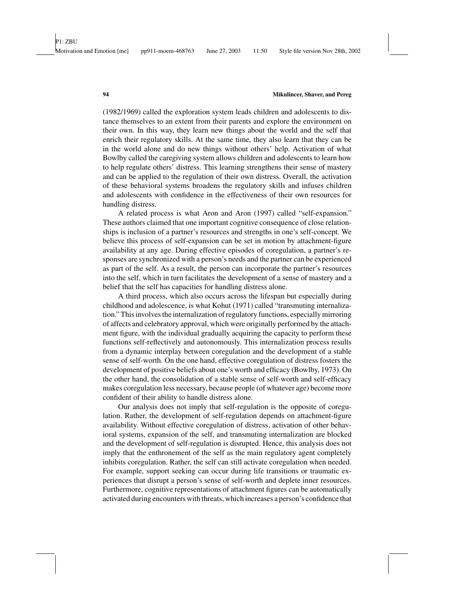(1982/1969) called the exploration system leads children and adolescents to distance themselves to an extent from their parents and explore the environment on their own. In this way, they learn new things about the world and the self that enrich their regulatory skills. At the same time, they also learn that they can be in the world alone and do new things without others' help. Activation of what Bowlby called the caregiving system allows children and adolescents to learn how to help regulate others' distress. This learning strengthens their sense of mastery and can be applied to the regulation of their own distress. Overall, the activation of these behavioral systems broadens the regulatory skills and infuses children and adolescents with confidence in the effectiveness of their own resources for handling distress.

A related process is what Aron and Aron (1997) called "self-expansion." These authors claimed that one important cognitive consequence of close relationships is inclusion of a partner's resources and strengths in one's self-concept. We believe this process of self-expansion can be set in motion by attachment-figure availability at any age. During effective episodes of coregulation, a partner's responses are synchronized with a person's needs and the partner can be experienced as part of the self. As a result, the person can incorporate the partner's resources into the self, which in turn facilitates the development of a sense of mastery and a belief that the self has capacities for handling distress alone.

A third process, which also occurs across the lifespan but especially during childhood and adolescence, is what Kohut (1971) called "transmuting internalization." This involves the internalization of regulatory functions, especially mirroring of affects and celebratory approval, which were originally performed by the attachment figure, with the individual gradually acquiring the capacity to perform these functions self-reflectively and autonomously. This internalization process results from a dynamic interplay between coregulation and the development of a stable sense of self-worth. On the one hand, effective coregulation of distress fosters the development of positive beliefs about one's worth and efficacy (Bowlby, 1973). On the other hand, the consolidation of a stable sense of self-worth and self-efficacy makes coregulation less necessary, because people (of whatever age) become more confident of their ability to handle distress alone.

Our analysis does not imply that self-regulation is the opposite of coregulation. Rather, the development of self-regulation depends on attachment-figure availability. Without effective coregulation of distress, activation of other behavioral systems, expansion of the self, and transmuting internalization are blocked and the development of self-regulation is disrupted. Hence, this analysis does not imply that the enthronement of the self as the main regulatory agent completely inhibits coregulation. Rather, the self can still activate coregulation when needed. For example, support seeking can occur during life transitions or traumatic experiences that disrupt a person's sense of self-worth and deplete inner resources. Furthermore, cognitive representations of attachment figures can be automatically activated during encounters with threats, which increases a person's confidence that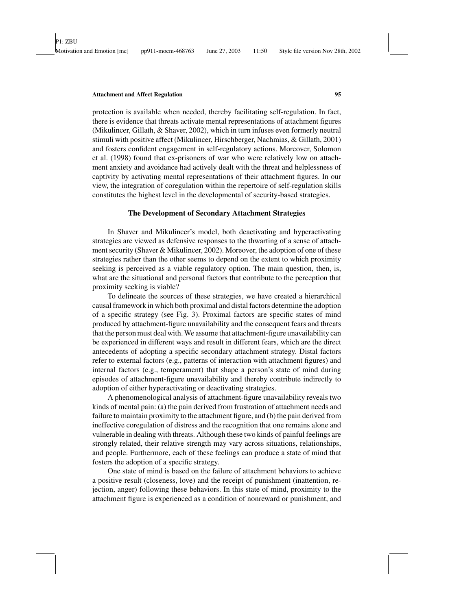protection is available when needed, thereby facilitating self-regulation. In fact, there is evidence that threats activate mental representations of attachment figures (Mikulincer, Gillath, & Shaver, 2002), which in turn infuses even formerly neutral stimuli with positive affect (Mikulincer, Hirschberger, Nachmias, & Gillath, 2001) and fosters confident engagement in self-regulatory actions. Moreover, Solomon et al. (1998) found that ex-prisoners of war who were relatively low on attachment anxiety and avoidance had actively dealt with the threat and helplessness of captivity by activating mental representations of their attachment figures. In our view, the integration of coregulation within the repertoire of self-regulation skills constitutes the highest level in the developmental of security-based strategies.

## **The Development of Secondary Attachment Strategies**

In Shaver and Mikulincer's model, both deactivating and hyperactivating strategies are viewed as defensive responses to the thwarting of a sense of attachment security (Shaver & Mikulincer, 2002). Moreover, the adoption of one of these strategies rather than the other seems to depend on the extent to which proximity seeking is perceived as a viable regulatory option. The main question, then, is, what are the situational and personal factors that contribute to the perception that proximity seeking is viable?

To delineate the sources of these strategies, we have created a hierarchical causal framework in which both proximal and distal factors determine the adoption of a specific strategy (see Fig. 3). Proximal factors are specific states of mind produced by attachment-figure unavailability and the consequent fears and threats that the person must deal with. We assume that attachment-figure unavailability can be experienced in different ways and result in different fears, which are the direct antecedents of adopting a specific secondary attachment strategy. Distal factors refer to external factors (e.g., patterns of interaction with attachment figures) and internal factors (e.g., temperament) that shape a person's state of mind during episodes of attachment-figure unavailability and thereby contribute indirectly to adoption of either hyperactivating or deactivating strategies.

A phenomenological analysis of attachment-figure unavailability reveals two kinds of mental pain: (a) the pain derived from frustration of attachment needs and failure to maintain proximity to the attachment figure, and (b) the pain derived from ineffective coregulation of distress and the recognition that one remains alone and vulnerable in dealing with threats. Although these two kinds of painful feelings are strongly related, their relative strength may vary across situations, relationships, and people. Furthermore, each of these feelings can produce a state of mind that fosters the adoption of a specific strategy.

One state of mind is based on the failure of attachment behaviors to achieve a positive result (closeness, love) and the receipt of punishment (inattention, rejection, anger) following these behaviors. In this state of mind, proximity to the attachment figure is experienced as a condition of nonreward or punishment, and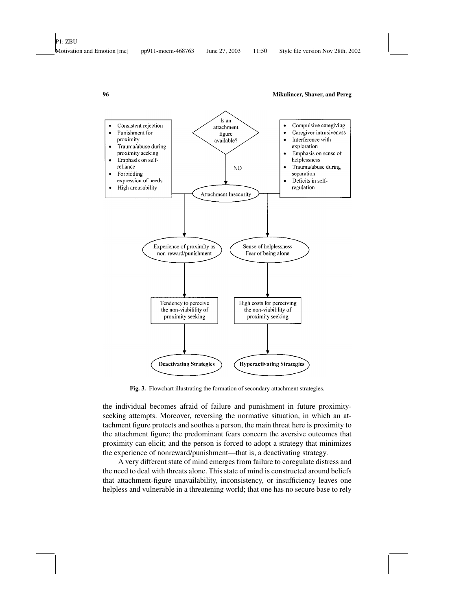

**Fig. 3.** Flowchart illustrating the formation of secondary attachment strategies.

the individual becomes afraid of failure and punishment in future proximityseeking attempts. Moreover, reversing the normative situation, in which an attachment figure protects and soothes a person, the main threat here is proximity to the attachment figure; the predominant fears concern the aversive outcomes that proximity can elicit; and the person is forced to adopt a strategy that minimizes the experience of nonreward/punishment—that is, a deactivating strategy.

A very different state of mind emerges from failure to coregulate distress and the need to deal with threats alone. This state of mind is constructed around beliefs that attachment-figure unavailability, inconsistency, or insufficiency leaves one helpless and vulnerable in a threatening world; that one has no secure base to rely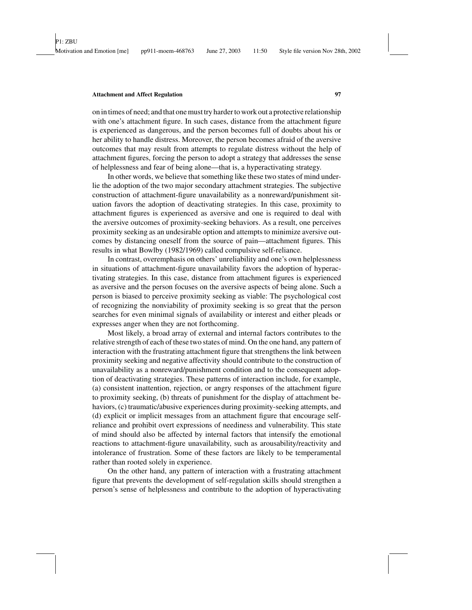on in times of need; and that one must try harder to work out a protective relationship with one's attachment figure. In such cases, distance from the attachment figure is experienced as dangerous, and the person becomes full of doubts about his or her ability to handle distress. Moreover, the person becomes afraid of the aversive outcomes that may result from attempts to regulate distress without the help of attachment figures, forcing the person to adopt a strategy that addresses the sense of helplessness and fear of being alone—that is, a hyperactivating strategy.

In other words, we believe that something like these two states of mind underlie the adoption of the two major secondary attachment strategies. The subjective construction of attachment-figure unavailability as a nonreward/punishment situation favors the adoption of deactivating strategies. In this case, proximity to attachment figures is experienced as aversive and one is required to deal with the aversive outcomes of proximity-seeking behaviors. As a result, one perceives proximity seeking as an undesirable option and attempts to minimize aversive outcomes by distancing oneself from the source of pain—attachment figures. This results in what Bowlby (1982/1969) called compulsive self-reliance.

In contrast, overemphasis on others' unreliability and one's own helplessness in situations of attachment-figure unavailability favors the adoption of hyperactivating strategies. In this case, distance from attachment figures is experienced as aversive and the person focuses on the aversive aspects of being alone. Such a person is biased to perceive proximity seeking as viable: The psychological cost of recognizing the nonviability of proximity seeking is so great that the person searches for even minimal signals of availability or interest and either pleads or expresses anger when they are not forthcoming.

Most likely, a broad array of external and internal factors contributes to the relative strength of each of these two states of mind. On the one hand, any pattern of interaction with the frustrating attachment figure that strengthens the link between proximity seeking and negative affectivity should contribute to the construction of unavailability as a nonreward/punishment condition and to the consequent adoption of deactivating strategies. These patterns of interaction include, for example, (a) consistent inattention, rejection, or angry responses of the attachment figure to proximity seeking, (b) threats of punishment for the display of attachment behaviors, (c) traumatic/abusive experiences during proximity-seeking attempts, and (d) explicit or implicit messages from an attachment figure that encourage selfreliance and prohibit overt expressions of neediness and vulnerability. This state of mind should also be affected by internal factors that intensify the emotional reactions to attachment-figure unavailability, such as arousability/reactivity and intolerance of frustration. Some of these factors are likely to be temperamental rather than rooted solely in experience.

On the other hand, any pattern of interaction with a frustrating attachment figure that prevents the development of self-regulation skills should strengthen a person's sense of helplessness and contribute to the adoption of hyperactivating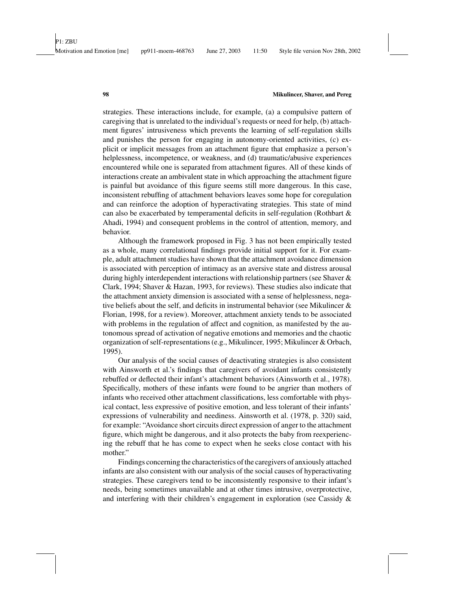strategies. These interactions include, for example, (a) a compulsive pattern of caregiving that is unrelated to the individual's requests or need for help, (b) attachment figures' intrusiveness which prevents the learning of self-regulation skills and punishes the person for engaging in autonomy-oriented activities, (c) explicit or implicit messages from an attachment figure that emphasize a person's helplessness, incompetence, or weakness, and (d) traumatic/abusive experiences encountered while one is separated from attachment figures. All of these kinds of interactions create an ambivalent state in which approaching the attachment figure is painful but avoidance of this figure seems still more dangerous. In this case, inconsistent rebuffing of attachment behaviors leaves some hope for coregulation and can reinforce the adoption of hyperactivating strategies. This state of mind can also be exacerbated by temperamental deficits in self-regulation (Rothbart & Ahadi, 1994) and consequent problems in the control of attention, memory, and behavior.

Although the framework proposed in Fig. 3 has not been empirically tested as a whole, many correlational findings provide initial support for it. For example, adult attachment studies have shown that the attachment avoidance dimension is associated with perception of intimacy as an aversive state and distress arousal during highly interdependent interactions with relationship partners (see Shaver & Clark, 1994; Shaver & Hazan, 1993, for reviews). These studies also indicate that the attachment anxiety dimension is associated with a sense of helplessness, negative beliefs about the self, and deficits in instrumental behavior (see Mikulincer & Florian, 1998, for a review). Moreover, attachment anxiety tends to be associated with problems in the regulation of affect and cognition, as manifested by the autonomous spread of activation of negative emotions and memories and the chaotic organization of self-representations (e.g., Mikulincer, 1995; Mikulincer & Orbach, 1995).

Our analysis of the social causes of deactivating strategies is also consistent with Ainsworth et al.'s findings that caregivers of avoidant infants consistently rebuffed or deflected their infant's attachment behaviors (Ainsworth et al., 1978). Specifically, mothers of these infants were found to be angrier than mothers of infants who received other attachment classifications, less comfortable with physical contact, less expressive of positive emotion, and less tolerant of their infants' expressions of vulnerability and neediness. Ainsworth et al. (1978, p. 320) said, for example: "Avoidance short circuits direct expression of anger to the attachment figure, which might be dangerous, and it also protects the baby from reexperiencing the rebuff that he has come to expect when he seeks close contact with his mother."

Findings concerning the characteristics of the caregivers of anxiously attached infants are also consistent with our analysis of the social causes of hyperactivating strategies. These caregivers tend to be inconsistently responsive to their infant's needs, being sometimes unavailable and at other times intrusive, overprotective, and interfering with their children's engagement in exploration (see Cassidy &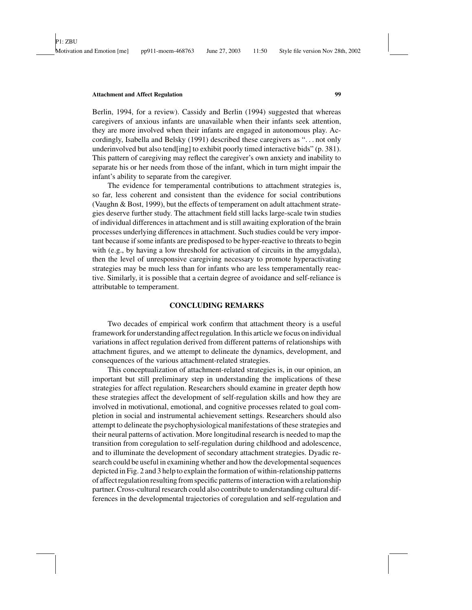Berlin, 1994, for a review). Cassidy and Berlin (1994) suggested that whereas caregivers of anxious infants are unavailable when their infants seek attention, they are more involved when their infants are engaged in autonomous play. Accordingly, Isabella and Belsky (1991) described these caregivers as "... not only underinvolved but also tend[ing] to exhibit poorly timed interactive bids" (p. 381). This pattern of caregiving may reflect the caregiver's own anxiety and inability to separate his or her needs from those of the infant, which in turn might impair the infant's ability to separate from the caregiver.

The evidence for temperamental contributions to attachment strategies is, so far, less coherent and consistent than the evidence for social contributions (Vaughn & Bost, 1999), but the effects of temperament on adult attachment strategies deserve further study. The attachment field still lacks large-scale twin studies of individual differences in attachment and is still awaiting exploration of the brain processes underlying differences in attachment. Such studies could be very important because if some infants are predisposed to be hyper-reactive to threats to begin with (e.g., by having a low threshold for activation of circuits in the amygdala), then the level of unresponsive caregiving necessary to promote hyperactivating strategies may be much less than for infants who are less temperamentally reactive. Similarly, it is possible that a certain degree of avoidance and self-reliance is attributable to temperament.

## **CONCLUDING REMARKS**

Two decades of empirical work confirm that attachment theory is a useful framework for understanding affect regulation. In this article we focus on individual variations in affect regulation derived from different patterns of relationships with attachment figures, and we attempt to delineate the dynamics, development, and consequences of the various attachment-related strategies.

This conceptualization of attachment-related strategies is, in our opinion, an important but still preliminary step in understanding the implications of these strategies for affect regulation. Researchers should examine in greater depth how these strategies affect the development of self-regulation skills and how they are involved in motivational, emotional, and cognitive processes related to goal completion in social and instrumental achievement settings. Researchers should also attempt to delineate the psychophysiological manifestations of these strategies and their neural patterns of activation. More longitudinal research is needed to map the transition from coregulation to self-regulation during childhood and adolescence, and to illuminate the development of secondary attachment strategies. Dyadic research could be useful in examining whether and how the developmental sequences depicted in Fig. 2 and 3 help to explain the formation of within-relationship patterns of affect regulation resulting from specific patterns of interaction with a relationship partner. Cross-cultural research could also contribute to understanding cultural differences in the developmental trajectories of coregulation and self-regulation and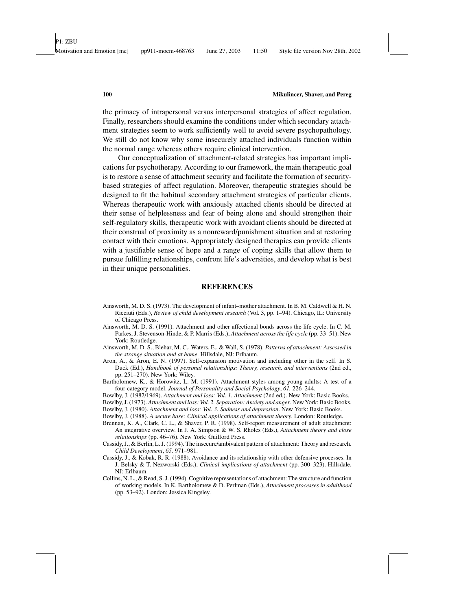the primacy of intrapersonal versus interpersonal strategies of affect regulation. Finally, researchers should examine the conditions under which secondary attachment strategies seem to work sufficiently well to avoid severe psychopathology. We still do not know why some insecurely attached individuals function within the normal range whereas others require clinical intervention.

Our conceptualization of attachment-related strategies has important implications for psychotherapy. According to our framework, the main therapeutic goal is to restore a sense of attachment security and facilitate the formation of securitybased strategies of affect regulation. Moreover, therapeutic strategies should be designed to fit the habitual secondary attachment strategies of particular clients. Whereas therapeutic work with anxiously attached clients should be directed at their sense of helplessness and fear of being alone and should strengthen their self-regulatory skills, therapeutic work with avoidant clients should be directed at their construal of proximity as a nonreward/punishment situation and at restoring contact with their emotions. Appropriately designed therapies can provide clients with a justifiable sense of hope and a range of coping skills that allow them to pursue fulfilling relationships, confront life's adversities, and develop what is best in their unique personalities.

#### **REFERENCES**

- Ainsworth, M. D. S. (1973). The development of infant–mother attachment. In B. M. Caldwell & H. N. Ricciuti (Eds.), *Review of child development research* (Vol. 3, pp. 1–94). Chicago, IL: University of Chicago Press.
- Ainsworth, M. D. S. (1991). Attachment and other affectional bonds across the life cycle. In C. M. Parkes, J. Stevenson-Hinde, & P. Marris (Eds.), *Attachment across the life cycle* (pp. 33–51). New York: Routledge.
- Ainsworth, M. D. S., Blehar, M. C., Waters, E., & Wall, S. (1978). *Patterns of attachment: Assessed in the strange situation and at home*. Hillsdale, NJ: Erlbaum.
- Aron, A., & Aron, E. N. (1997). Self-expansion motivation and including other in the self. In S. Duck (Ed.), *Handbook of personal relationships: Theory, research, and interventions* (2nd ed., pp. 251–270). New York: Wiley.
- Bartholomew, K., & Horowitz, L. M. (1991). Attachment styles among young adults: A test of a four-category model. *Journal of Personality and Social Psychology*, *61,* 226–244.
- Bowlby, J. (1982/1969). *Attachment and loss: Vol. 1. Attachment* (2nd ed.). New York: Basic Books.
- Bowlby, J. (1973). *Attachment and loss: Vol. 2. Separation: Anxiety and anger*. New York: Basic Books.
- Bowlby, J. (1980). *Attachment and loss: Vol. 3. Sadness and depression*. New York: Basic Books.
- Bowlby, J. (1988). *A secure base: Clinical applications of attachment theory*. London: Routledge.
- Brennan, K. A., Clark, C. L., & Shaver, P. R. (1998). Self-report measurement of adult attachment: An integrative overview. In J. A. Simpson & W. S. Rholes (Eds.), *Attachment theory and close relationships* (pp. 46–76). New York: Guilford Press.
- Cassidy, J., & Berlin, L. J. (1994). The insecure/ambivalent pattern of attachment: Theory and research. *Child Development*, *65,* 971–981.
- Cassidy, J., & Kobak, R. R. (1988). Avoidance and its relationship with other defensive processes. In J. Belsky & T. Nezworski (Eds.), *Clinical implications of attachment* (pp. 300–323). Hillsdale, NJ: Erlbaum.
- Collins, N. L., & Read, S. J. (1994). Cognitive representations of attachment: The structure and function of working models. In K. Bartholomew & D. Perlman (Eds.), *Attachment processes in adulthood* (pp. 53–92). London: Jessica Kingsley.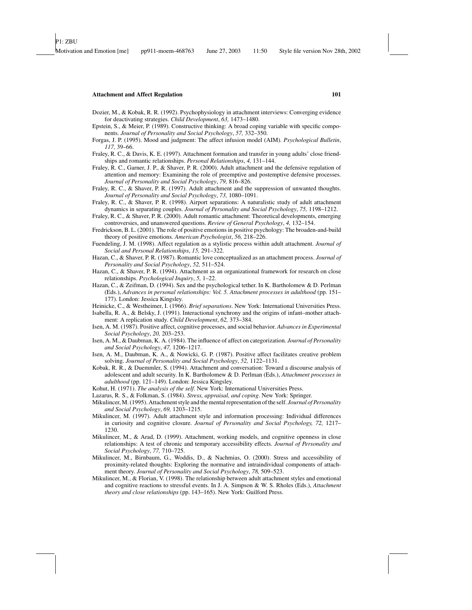- Dozier, M., & Kobak, R. R. (1992). Psychophysiology in attachment interviews: Converging evidence for deactivating strategies. *Child Development*, *63,* 1473–1480.
- Epstein, S., & Meier, P. (1989). Constructive thinking: A broad coping variable with specific components. *Journal of Personality and Social Psychology*, *57,* 332–350.
- Forgas, J. P. (1995). Mood and judgment: The affect infusion model (AIM). *Psychological Bulletin*, *117,* 39–66.
- Fraley, R. C., & Davis, K. E. (1997). Attachment formation and transfer in young adults' close friendships and romantic relationships. *Personal Relationships*, *4,* 131–144.
- Fraley, R. C., Garner, J. P., & Shaver, P. R. (2000). Adult attachment and the defensive regulation of attention and memory: Examining the role of preemptive and postemptive defensive processes. *Journal of Personality and Social Psychology*, *79,* 816–826.
- Fraley, R. C., & Shaver, P. R. (1997). Adult attachment and the suppression of unwanted thoughts. *Journal of Personality and Social Psychology*, *73,* 1080–1091.
- Fraley, R. C., & Shaver, P. R. (1998). Airport separations: A naturalistic study of adult attachment dynamics in separating couples. *Journal of Personality and Social Psychology*, *75,* 1198–1212.
- Fraley, R. C., & Shaver, P. R. (2000). Adult romantic attachment: Theoretical developments, emerging controversies, and unanswered questions. *Review of General Psychology*, *4,* 132–154.
- Fredrickson, B. L. (2001). The role of positive emotions in positive psychology: The broaden-and-build theory of positive emotions. *American Psychologist*, *56,* 218–226.
- Fuendeling, J. M. (1998). Affect regulation as a stylistic process within adult attachment. *Journal of Social and Personal Relationships*, *15,* 291–322.
- Hazan, C., & Shaver, P. R. (1987). Romantic love conceptualized as an attachment process. *Journal of Personality and Social Psychology*, *52,* 511–524.
- Hazan, C., & Shaver, P. R. (1994). Attachment as an organizational framework for research on close relationships. *Psychological Inquiry*, *5,* 1–22.
- Hazan, C., & Zeifman, D. (1994). Sex and the psychological tether. In K. Bartholomew & D. Perlman (Eds.), *Advances in personal relationships: Vol. 5. Attachment processes in adulthood* (pp. 151– 177). London: Jessica Kingsley.
- Heinicke, C., & Westheimer, I. (1966). *Brief separations*. New York: International Universities Press.
- Isabella, R. A., & Belsky, J. (1991). Interactional synchrony and the origins of infant–mother attachment: A replication study. *Child Development*, *62,* 373–384.
- Isen, A. M. (1987). Positive affect, cognitive processes, and social behavior. *Advances in Experimental Social Psychology*, *20,* 203–253.
- Isen, A. M., & Daubman, K. A. (1984). The influence of affect on categorization. *Journal of Personality and Social Psychology*, *47,* 1206–1217.
- Isen, A. M., Daubman, K. A., & Nowicki, G. P. (1987). Positive affect facilitates creative problem solving. *Journal of Personality and Social Psychology*, *52,* 1122–1131.
- Kobak, R. R., & Duemmler, S. (1994). Attachment and conversation: Toward a discourse analysis of adolescent and adult security. In K. Bartholomew & D. Perlman (Eds.), *Attachment processes in adulthood* (pp. 121–149). London: Jessica Kingsley.
- Kohut, H. (1971). *The analysis of the self*. New York: International Universities Press.
- Lazarus, R. S., & Folkman, S. (1984). *Stress, appraisal, and coping*. New York: Springer.
- Mikulincer, M. (1995). Attachment style and the mental representation of the self. *Journal of Personality and Social Psychology*, *69,* 1203–1215.
- Mikulincer, M. (1997). Adult attachment style and information processing: Individual differences in curiosity and cognitive closure. *Journal of Personality and Social Psychology, 72,* 1217– 1230.
- Mikulincer, M., & Arad, D. (1999). Attachment, working models, and cognitive openness in close relationships: A test of chronic and temporary accessibility effects. *Journal of Personality and Social Psychology*, *77,* 710–725.
- Mikulincer, M., Birnbaum, G., Woddis, D., & Nachmias, O. (2000). Stress and accessibility of proximity-related thoughts: Exploring the normative and intraindividual components of attachment theory. *Journal of Personality and Social Psychology*, *78,* 509–523.
- Mikulincer, M., & Florian, V. (1998). The relationship between adult attachment styles and emotional and cognitive reactions to stressful events. In J. A. Simpson & W. S. Rholes (Eds.), *Attachment theory and close relationships* (pp. 143–165). New York: Guilford Press.